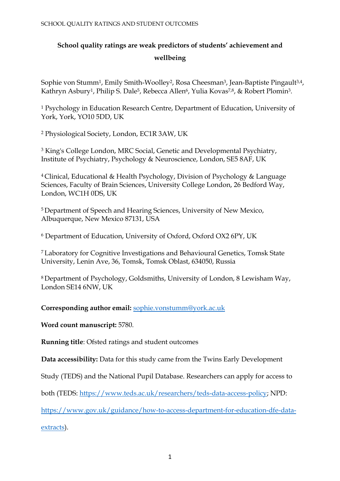# **School quality ratings are weak predictors of students' achievement and wellbeing**

Sophie von Stumm<sup>1</sup>, Emily Smith-Woolley<sup>2</sup>, Rosa Cheesman<sup>3</sup>, Jean-Baptiste Pingault<sup>3,4</sup>, Kathryn Asbury<sup>1</sup>, Philip S. Dale<sup>5</sup>, Rebecca Allen<sup>6</sup>, Yulia Kovas<sup>7,8</sup>, & Robert Plomin<sup>3</sup>.

<sup>1</sup> Psychology in Education Research Centre, Department of Education, University of York, York, YO10 5DD, UK

<sup>2</sup> Physiological Society, London, EC1R 3AW, UK

<sup>3</sup> King's College London, MRC Social, Genetic and Developmental Psychiatry, Institute of Psychiatry, Psychology & Neuroscience, London, SE5 8AF, UK

<sup>4</sup>Clinical, Educational & Health Psychology, Division of Psychology & Language Sciences, Faculty of Brain Sciences, University College London, 26 Bedford Way, London, WC1H 0DS, UK

<sup>5</sup>Department of Speech and Hearing Sciences, University of New Mexico, Albuquerque, New Mexico 87131, USA

<sup>6</sup> Department of Education, University of Oxford, Oxford OX2 6PY, UK

<sup>7</sup>Laboratory for Cognitive Investigations and Behavioural Genetics, Tomsk State University, Lenin Ave, 36, Tomsk, Tomsk Oblast, 634050, Russia

<sup>8</sup>Department of Psychology, Goldsmiths, University of London, 8 Lewisham Way, London SE14 6NW, UK

**Corresponding author email:** [sophie.vonstumm@york.ac.uk](mailto:sophie.vonstumm@york.ac.uk)

**Word count manuscript:** 5780.

**Running title**: Ofsted ratings and student outcomes

**Data accessibility:** Data for this study came from the Twins Early Development

Study (TEDS) and the National Pupil Database. Researchers can apply for access to

both (TEDS: [https://www.teds.ac.uk/researchers/teds-data-access-policy;](https://www.teds.ac.uk/researchers/teds-data-access-policy) NPD:

[https://www.gov.uk/guidance/how-to-access-department-for-education-dfe-data-](https://www.gov.uk/guidance/how-to-access-department-for-education-dfe-data-extracts)

[extracts\)](https://www.gov.uk/guidance/how-to-access-department-for-education-dfe-data-extracts).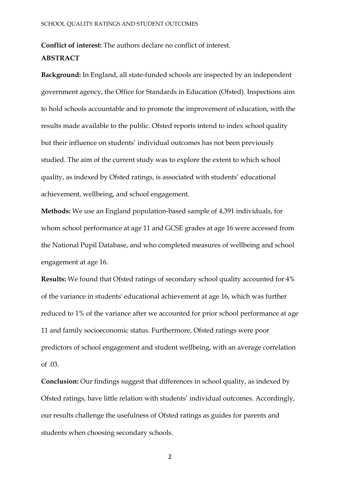**Conflict of interest:** The authors declare no conflict of interest. **ABSTRACT**

**Background:** In England, all state-funded schools are inspected by an independent government agency, the Office for Standards in Education (Ofsted). Inspections aim to hold schools accountable and to promote the improvement of education, with the results made available to the public. Ofsted reports intend to index school quality but their influence on students' individual outcomes has not been previously studied. The aim of the current study was to explore the extent to which school quality, as indexed by Ofsted ratings, is associated with students' educational achievement, wellbeing, and school engagement.

**Methods:** We use an England population-based sample of 4,391 individuals, for whom school performance at age 11 and GCSE grades at age 16 were accessed from the National Pupil Database, and who completed measures of wellbeing and school engagement at age 16.

**Results:** We found that Ofsted ratings of secondary school quality accounted for 4% of the variance in students' educational achievement at age 16, which was further reduced to 1% of the variance after we accounted for prior school performance at age 11 and family socioeconomic status. Furthermore, Ofsted ratings were poor predictors of school engagement and student wellbeing, with an average correlation of .03.

**Conclusion:** Our findings suggest that differences in school quality, as indexed by Ofsted ratings, have little relation with students' individual outcomes. Accordingly, our results challenge the usefulness of Ofsted ratings as guides for parents and students when choosing secondary schools.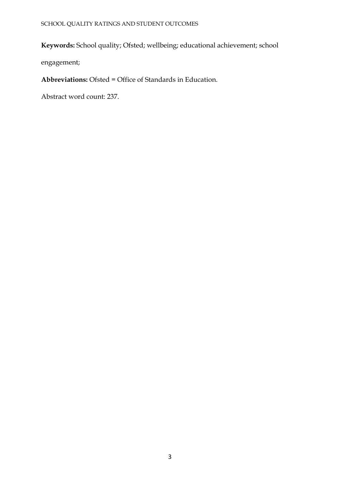# **Keywords:** School quality; Ofsted; wellbeing; educational achievement; school

engagement;

**Abbreviations:** Ofsted = Office of Standards in Education.

Abstract word count: 237.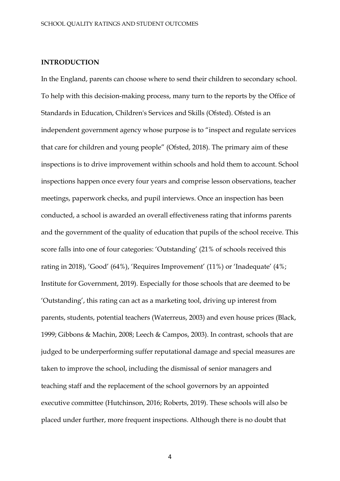## **INTRODUCTION**

In the England, parents can choose where to send their children to secondary school. To help with this decision-making process, many turn to the reports by the Office of Standards in Education, Children's Services and Skills (Ofsted). Ofsted is an independent government agency whose purpose is to "inspect and regulate services that care for children and young people" (Ofsted, 2018). The primary aim of these inspections is to drive improvement within schools and hold them to account. School inspections happen once every four years and comprise lesson observations, teacher meetings, paperwork checks, and pupil interviews. Once an inspection has been conducted, a school is awarded an overall effectiveness rating that informs parents and the government of the quality of education that pupils of the school receive. This score falls into one of four categories: 'Outstanding' (21% of schools received this rating in 2018), 'Good' (64%), 'Requires Improvement' (11%) or 'Inadequate' (4%; Institute for Government, 2019). Especially for those schools that are deemed to be 'Outstanding', this rating can act as a marketing tool, driving up interest from parents, students, potential teachers (Waterreus, 2003) and even house prices (Black, 1999; Gibbons & Machin, 2008; Leech & Campos, 2003). In contrast, schools that are judged to be underperforming suffer reputational damage and special measures are taken to improve the school, including the dismissal of senior managers and teaching staff and the replacement of the school governors by an appointed executive committee (Hutchinson, 2016; Roberts, 2019). These schools will also be placed under further, more frequent inspections. Although there is no doubt that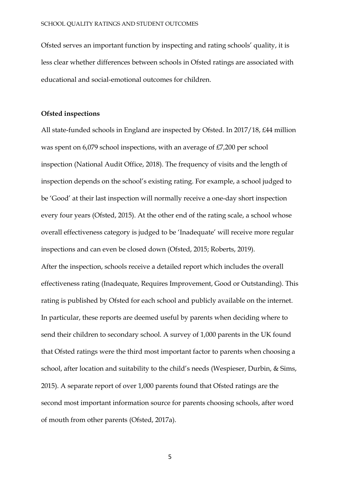Ofsted serves an important function by inspecting and rating schools' quality, it is less clear whether differences between schools in Ofsted ratings are associated with educational and social-emotional outcomes for children.

## **Ofsted inspections**

All state-funded schools in England are inspected by Ofsted. In 2017/18, £44 million was spent on 6,079 school inspections, with an average of £7,200 per school inspection (National Audit Office, 2018). The frequency of visits and the length of inspection depends on the school's existing rating. For example, a school judged to be 'Good' at their last inspection will normally receive a one-day short inspection every four years (Ofsted, 2015). At the other end of the rating scale, a school whose overall effectiveness category is judged to be 'Inadequate' will receive more regular inspections and can even be closed down (Ofsted, 2015; Roberts, 2019). After the inspection, schools receive a detailed report which includes the overall effectiveness rating (Inadequate, Requires Improvement, Good or Outstanding). This rating is published by Ofsted for each school and publicly available on the internet. In particular, these reports are deemed useful by parents when deciding where to send their children to secondary school. A survey of 1,000 parents in the UK found that Ofsted ratings were the third most important factor to parents when choosing a school, after location and suitability to the child's needs (Wespieser, Durbin, & Sims, 2015). A separate report of over 1,000 parents found that Ofsted ratings are the second most important information source for parents choosing schools, after word of mouth from other parents (Ofsted, 2017a).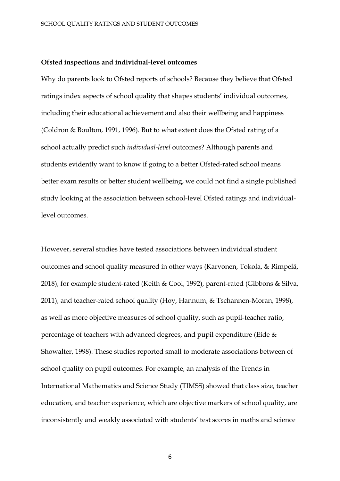#### **Ofsted inspections and individual-level outcomes**

Why do parents look to Ofsted reports of schools? Because they believe that Ofsted ratings index aspects of school quality that shapes students' individual outcomes, including their educational achievement and also their wellbeing and happiness (Coldron & Boulton, 1991, 1996). But to what extent does the Ofsted rating of a school actually predict such *individual-level* outcomes? Although parents and students evidently want to know if going to a better Ofsted-rated school means better exam results or better student wellbeing, we could not find a single published study looking at the association between school-level Ofsted ratings and individuallevel outcomes.

However, several studies have tested associations between individual student outcomes and school quality measured in other ways (Karvonen, Tokola, & Rimpelä, 2018), for example student-rated (Keith & Cool, 1992), parent-rated (Gibbons & Silva, 2011), and teacher-rated school quality (Hoy, Hannum, & Tschannen-Moran, 1998), as well as more objective measures of school quality, such as pupil-teacher ratio, percentage of teachers with advanced degrees, and pupil expenditure (Eide & Showalter, 1998). These studies reported small to moderate associations between of school quality on pupil outcomes. For example, an analysis of the Trends in International Mathematics and Science Study (TIMSS) showed that class size, teacher education, and teacher experience, which are objective markers of school quality, are inconsistently and weakly associated with students' test scores in maths and science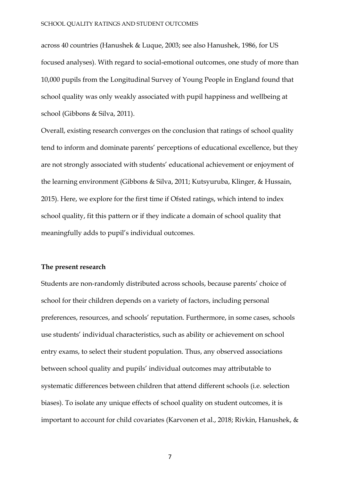across 40 countries (Hanushek & Luque, 2003; see also Hanushek, 1986, for US focused analyses). With regard to social-emotional outcomes, one study of more than 10,000 pupils from the Longitudinal Survey of Young People in England found that school quality was only weakly associated with pupil happiness and wellbeing at school (Gibbons & Silva, 2011).

Overall, existing research converges on the conclusion that ratings of school quality tend to inform and dominate parents' perceptions of educational excellence, but they are not strongly associated with students' educational achievement or enjoyment of the learning environment (Gibbons & Silva, 2011; Kutsyuruba, Klinger, & Hussain, 2015). Here, we explore for the first time if Ofsted ratings, which intend to index school quality, fit this pattern or if they indicate a domain of school quality that meaningfully adds to pupil's individual outcomes.

## **The present research**

Students are non-randomly distributed across schools, because parents' choice of school for their children depends on a variety of factors, including personal preferences, resources, and schools' reputation. Furthermore, in some cases, schools use students' individual characteristics, such as ability or achievement on school entry exams, to select their student population. Thus, any observed associations between school quality and pupils' individual outcomes may attributable to systematic differences between children that attend different schools (i.e. selection biases). To isolate any unique effects of school quality on student outcomes, it is important to account for child covariates (Karvonen et al., 2018; Rivkin, Hanushek, &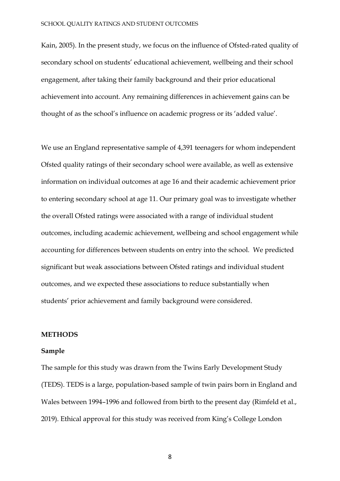Kain, 2005). In the present study, we focus on the influence of Ofsted-rated quality of secondary school on students' educational achievement, wellbeing and their school engagement, after taking their family background and their prior educational achievement into account. Any remaining differences in achievement gains can be thought of as the school's influence on academic progress or its 'added value'.

We use an England representative sample of 4,391 teenagers for whom independent Ofsted quality ratings of their secondary school were available, as well as extensive information on individual outcomes at age 16 and their academic achievement prior to entering secondary school at age 11. Our primary goal was to investigate whether the overall Ofsted ratings were associated with a range of individual student outcomes, including academic achievement, wellbeing and school engagement while accounting for differences between students on entry into the school. We predicted significant but weak associations between Ofsted ratings and individual student outcomes, and we expected these associations to reduce substantially when students' prior achievement and family background were considered.

## **METHODS**

#### **Sample**

The sample for this study was drawn from the Twins Early Development Study (TEDS). TEDS is a large, population-based sample of twin pairs born in England and Wales between 1994–1996 and followed from birth to the present day (Rimfeld et al., 2019). Ethical approval for this study was received from King's College London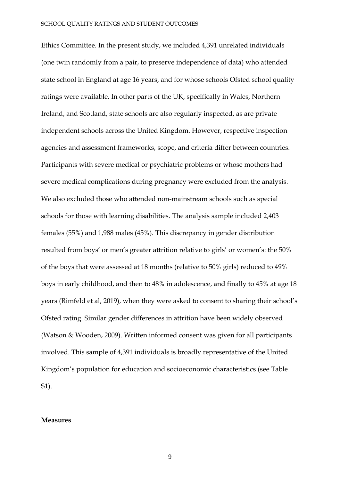Ethics Committee. In the present study, we included 4,391 unrelated individuals (one twin randomly from a pair, to preserve independence of data) who attended state school in England at age 16 years, and for whose schools Ofsted school quality ratings were available. In other parts of the UK, specifically in Wales, Northern Ireland, and Scotland, state schools are also regularly inspected, as are private independent schools across the United Kingdom. However, respective inspection agencies and assessment frameworks, scope, and criteria differ between countries. Participants with severe medical or psychiatric problems or whose mothers had severe medical complications during pregnancy were excluded from the analysis. We also excluded those who attended non-mainstream schools such as special schools for those with learning disabilities. The analysis sample included 2,403 females (55%) and 1,988 males (45%). This discrepancy in gender distribution resulted from boys' or men's greater attrition relative to girls' or women's: the 50% of the boys that were assessed at 18 months (relative to 50% girls) reduced to 49% boys in early childhood, and then to 48% in adolescence, and finally to 45% at age 18 years (Rimfeld et al, 2019), when they were asked to consent to sharing their school's Ofsted rating. Similar gender differences in attrition have been widely observed (Watson & Wooden, 2009). Written informed consent was given for all participants involved. This sample of 4,391 individuals is broadly representative of the United Kingdom's population for education and socioeconomic characteristics (see Table S1).

#### **Measures**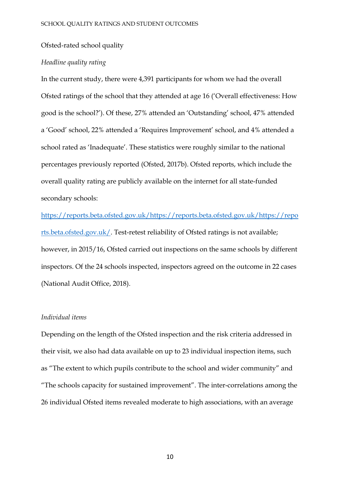#### Ofsted-rated school quality

## *Headline quality rating*

In the current study, there were 4,391 participants for whom we had the overall Ofsted ratings of the school that they attended at age 16 ('Overall effectiveness: How good is the school?'). Of these, 27% attended an 'Outstanding' school, 47% attended a 'Good' school, 22% attended a 'Requires Improvement' school, and 4% attended a school rated as 'Inadequate'. These statistics were roughly similar to the national percentages previously reported (Ofsted, 2017b). Ofsted reports, which include the overall quality rating are publicly available on the internet for all state-funded secondary schools:

[https://reports.beta.ofsted.gov.uk/https://reports.beta.ofsted.gov.uk/https://repo](https://reports.beta.ofsted.gov.uk/) [rts.beta.ofsted.gov.uk/.](https://reports.beta.ofsted.gov.uk/) Test-retest reliability of Ofsted ratings is not available; however, in 2015/16, Ofsted carried out inspections on the same schools by different inspectors. Of the 24 schools inspected, inspectors agreed on the outcome in 22 cases (National Audit Office, 2018).

## *Individual items*

Depending on the length of the Ofsted inspection and the risk criteria addressed in their visit, we also had data available on up to 23 individual inspection items, such as "The extent to which pupils contribute to the school and wider community" and "The schools capacity for sustained improvement". The inter-correlations among the 26 individual Ofsted items revealed moderate to high associations, with an average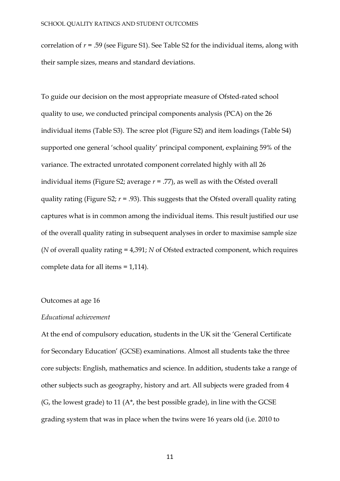correlation of *r* = .59 (see Figure S1). See Table S2 for the individual items, along with their sample sizes, means and standard deviations.

To guide our decision on the most appropriate measure of Ofsted-rated school quality to use, we conducted principal components analysis (PCA) on the 26 individual items (Table S3). The scree plot (Figure S2) and item loadings (Table S4) supported one general 'school quality' principal component, explaining 59% of the variance. The extracted unrotated component correlated highly with all 26 individual items (Figure S2; average *r* = .77), as well as with the Ofsted overall quality rating (Figure S2;  $r = .93$ ). This suggests that the Ofsted overall quality rating captures what is in common among the individual items. This result justified our use of the overall quality rating in subsequent analyses in order to maximise sample size (*N* of overall quality rating = 4,391; *N* of Ofsted extracted component, which requires complete data for all items = 1,114).

## Outcomes at age 16

#### *Educational achievement*

At the end of compulsory education, students in the UK sit the 'General Certificate for Secondary Education' (GCSE) examinations. Almost all students take the three core subjects: English, mathematics and science. In addition, students take a range of other subjects such as geography, history and art. All subjects were graded from 4  $(G,$  the lowest grade) to 11  $(A^*,$  the best possible grade), in line with the GCSE grading system that was in place when the twins were 16 years old (i.e. 2010 to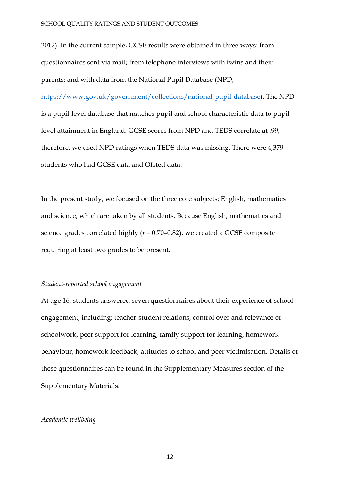2012). In the current sample, GCSE results were obtained in three ways: from questionnaires sent via mail; from telephone interviews with twins and their parents; and with data from the National Pupil Database (NPD;

[https://www.gov.uk/government/collections/national-pupil-database\)](https://www.gov.uk/government/collections/national-pupil-database). The NPD is a pupil-level database that matches pupil and school characteristic data to pupil level attainment in England. GCSE scores from NPD and TEDS correlate at .99; therefore, we used NPD ratings when TEDS data was missing. There were 4,379 students who had GCSE data and Ofsted data.

In the present study, we focused on the three core subjects: English, mathematics and science, which are taken by all students. Because English, mathematics and science grades correlated highly (*r* = 0.70–0.82), we created a GCSE composite requiring at least two grades to be present.

## *Student-reported school engagement*

At age 16, students answered seven questionnaires about their experience of school engagement, including: teacher-student relations, control over and relevance of schoolwork, peer support for learning, family support for learning, homework behaviour, homework feedback, attitudes to school and peer victimisation. Details of these questionnaires can be found in the Supplementary Measures section of the Supplementary Materials.

## *Academic wellbeing*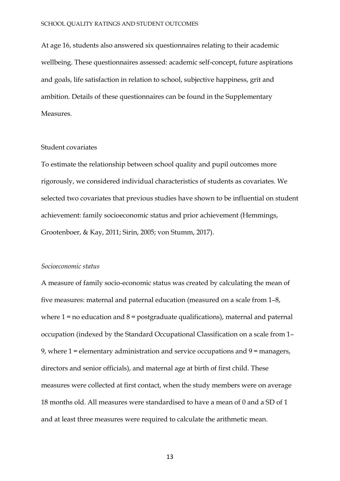At age 16, students also answered six questionnaires relating to their academic wellbeing. These questionnaires assessed: academic self-concept, future aspirations and goals, life satisfaction in relation to school, subjective happiness, grit and ambition. Details of these questionnaires can be found in the Supplementary Measures.

## Student covariates

To estimate the relationship between school quality and pupil outcomes more rigorously, we considered individual characteristics of students as covariates. We selected two covariates that previous studies have shown to be influential on student achievement: family socioeconomic status and prior achievement (Hemmings, Grootenboer, & Kay, 2011; Sirin, 2005; von Stumm, 2017).

## *Socioeconomic status*

A measure of family socio-economic status was created by calculating the mean of five measures: maternal and paternal education (measured on a scale from 1–8, where  $1 =$  no education and  $8 =$  postgraduate qualifications), maternal and paternal occupation (indexed by the Standard Occupational Classification on a scale from 1– 9, where  $1$  = elementary administration and service occupations and  $9$  = managers, directors and senior officials), and maternal age at birth of first child. These measures were collected at first contact, when the study members were on average 18 months old. All measures were standardised to have a mean of 0 and a SD of 1 and at least three measures were required to calculate the arithmetic mean.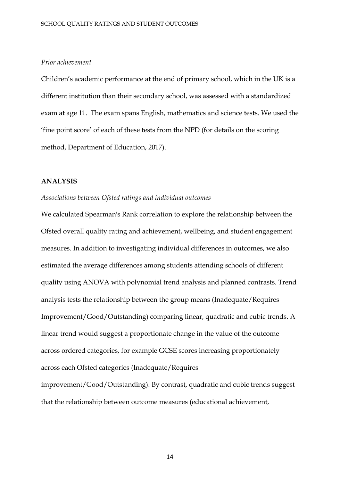## *Prior achievement*

Children's academic performance at the end of primary school, which in the UK is a different institution than their secondary school, was assessed with a standardized exam at age 11. The exam spans English, mathematics and science tests. We used the 'fine point score' of each of these tests from the NPD (for details on the scoring method, Department of Education, 2017).

#### **ANALYSIS**

## *Associations between Ofsted ratings and individual outcomes*

We calculated Spearman's Rank correlation to explore the relationship between the Ofsted overall quality rating and achievement, wellbeing, and student engagement measures. In addition to investigating individual differences in outcomes, we also estimated the average differences among students attending schools of different quality using ANOVA with polynomial trend analysis and planned contrasts. Trend analysis tests the relationship between the group means (Inadequate/Requires Improvement/Good/Outstanding) comparing linear, quadratic and cubic trends. A linear trend would suggest a proportionate change in the value of the outcome across ordered categories, for example GCSE scores increasing proportionately across each Ofsted categories (Inadequate/Requires

improvement/Good/Outstanding). By contrast, quadratic and cubic trends suggest that the relationship between outcome measures (educational achievement,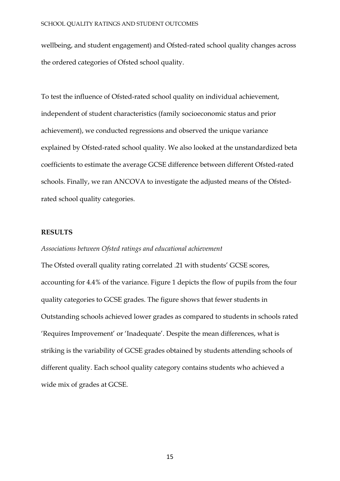wellbeing, and student engagement) and Ofsted-rated school quality changes across the ordered categories of Ofsted school quality.

To test the influence of Ofsted-rated school quality on individual achievement, independent of student characteristics (family socioeconomic status and prior achievement), we conducted regressions and observed the unique variance explained by Ofsted-rated school quality. We also looked at the unstandardized beta coefficients to estimate the average GCSE difference between different Ofsted-rated schools. Finally, we ran ANCOVA to investigate the adjusted means of the Ofstedrated school quality categories.

## **RESULTS**

## *Associations between Ofsted ratings and educational achievement*

The Ofsted overall quality rating correlated .21 with students' GCSE scores, accounting for 4.4% of the variance. Figure 1 depicts the flow of pupils from the four quality categories to GCSE grades. The figure shows that fewer students in Outstanding schools achieved lower grades as compared to students in schools rated 'Requires Improvement' or 'Inadequate'. Despite the mean differences, what is striking is the variability of GCSE grades obtained by students attending schools of different quality. Each school quality category contains students who achieved a wide mix of grades at GCSE.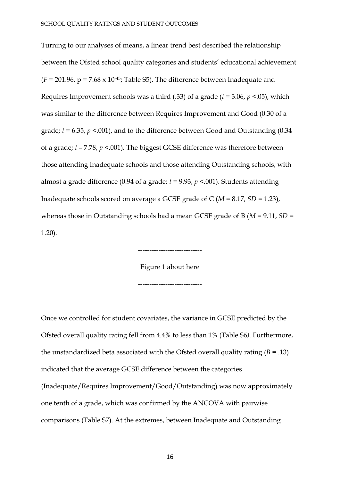Turning to our analyses of means, a linear trend best described the relationship between the Ofsted school quality categories and students' educational achievement  $(F = 201.96, p = 7.68 \times 10^{-45}$ ; Table S5). The difference between Inadequate and Requires Improvement schools was a third (.33) of a grade (*t* = 3.06, *p* <.05), which was similar to the difference between Requires Improvement and Good (0.30 of a grade; *t* = 6.35, *p* <.001), and to the difference between Good and Outstanding (0.34 of a grade; *t* – 7.78, *p* <.001). The biggest GCSE difference was therefore between those attending Inadequate schools and those attending Outstanding schools, with almost a grade difference (0.94 of a grade; *t* = 9.93, *p* <.001). Students attending Inadequate schools scored on average a GCSE grade of C (*M* = 8.17, *SD* = 1.23), whereas those in Outstanding schools had a mean GCSE grade of B (*M* = 9.11, *SD* = 1.20).

> Figure 1 about here ----------------------------

> ----------------------------

Once we controlled for student covariates, the variance in GCSE predicted by the Ofsted overall quality rating fell from 4.4% to less than 1% (Table S6*)*. Furthermore, the unstandardized beta associated with the Ofsted overall quality rating  $(B = .13)$ indicated that the average GCSE difference between the categories (Inadequate/Requires Improvement/Good/Outstanding) was now approximately one tenth of a grade, which was confirmed by the ANCOVA with pairwise comparisons (Table S7). At the extremes, between Inadequate and Outstanding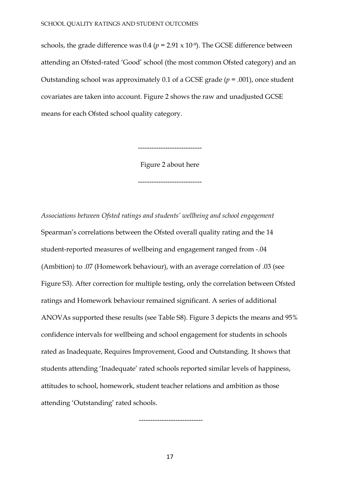schools, the grade difference was  $0.4$  ( $p = 2.91 \times 10^{-9}$ ). The GCSE difference between attending an Ofsted-rated 'Good' school (the most common Ofsted category) and an Outstanding school was approximately 0.1 of a GCSE grade (*p* = .001), once student covariates are taken into account. Figure 2 shows the raw and unadjusted GCSE means for each Ofsted school quality category.

----------------------------

Figure 2 about here

----------------------------

*Associations between Ofsted ratings and students' wellbeing and school engagement* Spearman's correlations between the Ofsted overall quality rating and the 14 student-reported measures of wellbeing and engagement ranged from -.04 (Ambition) to .07 (Homework behaviour), with an average correlation of .03 (see Figure S3). After correction for multiple testing, only the correlation between Ofsted ratings and Homework behaviour remained significant. A series of additional ANOVAs supported these results (see Table S8). Figure 3 depicts the means and 95% confidence intervals for wellbeing and school engagement for students in schools rated as Inadequate, Requires Improvement, Good and Outstanding. It shows that students attending 'Inadequate' rated schools reported similar levels of happiness, attitudes to school, homework, student teacher relations and ambition as those attending 'Outstanding' rated schools.

----------------------------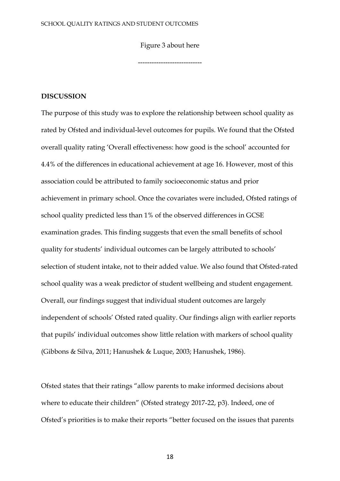Figure 3 about here

----------------------------

## **DISCUSSION**

The purpose of this study was to explore the relationship between school quality as rated by Ofsted and individual-level outcomes for pupils. We found that the Ofsted overall quality rating 'Overall effectiveness: how good is the school' accounted for 4.4% of the differences in educational achievement at age 16. However, most of this association could be attributed to family socioeconomic status and prior achievement in primary school. Once the covariates were included, Ofsted ratings of school quality predicted less than 1% of the observed differences in GCSE examination grades. This finding suggests that even the small benefits of school quality for students' individual outcomes can be largely attributed to schools' selection of student intake, not to their added value. We also found that Ofsted-rated school quality was a weak predictor of student wellbeing and student engagement. Overall, our findings suggest that individual student outcomes are largely independent of schools' Ofsted rated quality. Our findings align with earlier reports that pupils' individual outcomes show little relation with markers of school quality (Gibbons & Silva, 2011; Hanushek & Luque, 2003; Hanushek, 1986).

Ofsted states that their ratings "allow parents to make informed decisions about where to educate their children" (Ofsted strategy 2017-22, p3). Indeed, one of Ofsted's priorities is to make their reports "better focused on the issues that parents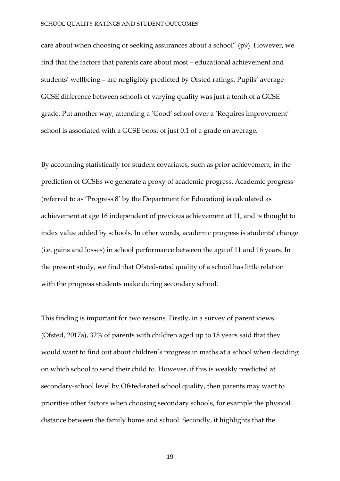care about when choosing or seeking assurances about a school" (p9). However, we find that the factors that parents care about most – educational achievement and students' wellbeing – are negligibly predicted by Ofsted ratings. Pupils' average GCSE difference between schools of varying quality was just a tenth of a GCSE grade. Put another way, attending a 'Good' school over a 'Requires improvement' school is associated with a GCSE boost of just 0.1 of a grade on average.

By accounting statistically for student covariates, such as prior achievement, in the prediction of GCSEs we generate a proxy of academic progress. Academic progress (referred to as 'Progress 8' by the Department for Education) is calculated as achievement at age 16 independent of previous achievement at 11, and is thought to index value added by schools. In other words, academic progress is students' change (i.e. gains and losses) in school performance between the age of 11 and 16 years. In the present study, we find that Ofsted-rated quality of a school has little relation with the progress students make during secondary school.

This finding is important for two reasons. Firstly, in a survey of parent views (Ofsted, 2017a), 32% of parents with children aged up to 18 years said that they would want to find out about children's progress in maths at a school when deciding on which school to send their child to. However, if this is weakly predicted at secondary-school level by Ofsted-rated school quality, then parents may want to prioritise other factors when choosing secondary schools, for example the physical distance between the family home and school. Secondly, it highlights that the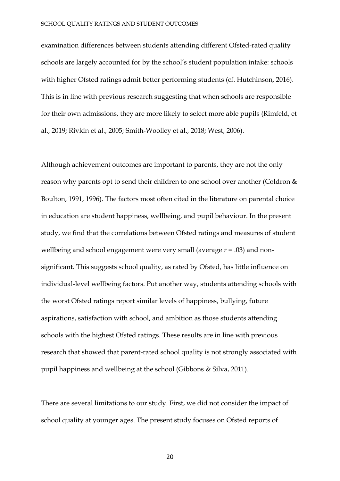#### SCHOOL QUALITY RATINGS AND STUDENT OUTCOMES

examination differences between students attending different Ofsted-rated quality schools are largely accounted for by the school's student population intake: schools with higher Ofsted ratings admit better performing students (cf. Hutchinson, 2016). This is in line with previous research suggesting that when schools are responsible for their own admissions, they are more likely to select more able pupils (Rimfeld, et al., 2019; Rivkin et al., 2005; Smith-Woolley et al., 2018; West, 2006).

Although achievement outcomes are important to parents, they are not the only reason why parents opt to send their children to one school over another (Coldron & Boulton, 1991, 1996). The factors most often cited in the literature on parental choice in education are student happiness, wellbeing, and pupil behaviour. In the present study, we find that the correlations between Ofsted ratings and measures of student wellbeing and school engagement were very small (average *r* = .03) and nonsignificant. This suggests school quality, as rated by Ofsted, has little influence on individual-level wellbeing factors. Put another way, students attending schools with the worst Ofsted ratings report similar levels of happiness, bullying, future aspirations, satisfaction with school, and ambition as those students attending schools with the highest Ofsted ratings. These results are in line with previous research that showed that parent-rated school quality is not strongly associated with pupil happiness and wellbeing at the school (Gibbons & Silva, 2011).

There are several limitations to our study. First, we did not consider the impact of school quality at younger ages. The present study focuses on Ofsted reports of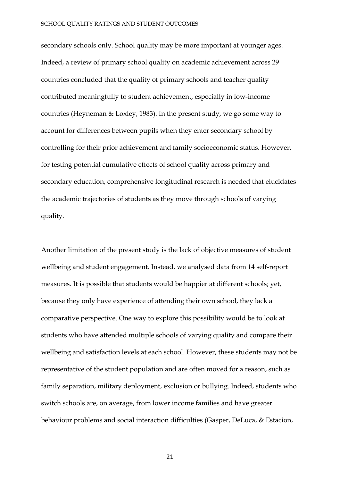secondary schools only. School quality may be more important at younger ages. Indeed, a review of primary school quality on academic achievement across 29 countries concluded that the quality of primary schools and teacher quality contributed meaningfully to student achievement, especially in low-income countries (Heyneman & Loxley, 1983). In the present study, we go some way to account for differences between pupils when they enter secondary school by controlling for their prior achievement and family socioeconomic status. However, for testing potential cumulative effects of school quality across primary and secondary education, comprehensive longitudinal research is needed that elucidates the academic trajectories of students as they move through schools of varying quality.

Another limitation of the present study is the lack of objective measures of student wellbeing and student engagement. Instead, we analysed data from 14 self-report measures. It is possible that students would be happier at different schools; yet, because they only have experience of attending their own school, they lack a comparative perspective. One way to explore this possibility would be to look at students who have attended multiple schools of varying quality and compare their wellbeing and satisfaction levels at each school. However, these students may not be representative of the student population and are often moved for a reason, such as family separation, military deployment, exclusion or bullying. Indeed, students who switch schools are, on average, from lower income families and have greater behaviour problems and social interaction difficulties (Gasper, DeLuca, & Estacion,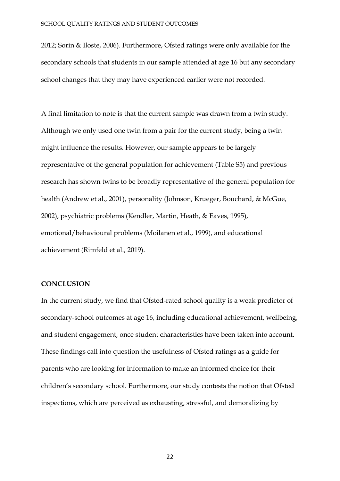2012; Sorin & Iloste, 2006). Furthermore, Ofsted ratings were only available for the secondary schools that students in our sample attended at age 16 but any secondary school changes that they may have experienced earlier were not recorded.

A final limitation to note is that the current sample was drawn from a twin study. Although we only used one twin from a pair for the current study, being a twin might influence the results. However, our sample appears to be largely representative of the general population for achievement (Table S5) and previous research has shown twins to be broadly representative of the general population for health (Andrew et al., 2001), personality (Johnson, Krueger, Bouchard, & McGue, 2002), psychiatric problems (Kendler, Martin, Heath, & Eaves, 1995), emotional/behavioural problems (Moilanen et al., 1999), and educational achievement (Rimfeld et al., 2019).

## **CONCLUSION**

In the current study, we find that Ofsted-rated school quality is a weak predictor of secondary-school outcomes at age 16, including educational achievement, wellbeing, and student engagement, once student characteristics have been taken into account. These findings call into question the usefulness of Ofsted ratings as a guide for parents who are looking for information to make an informed choice for their children's secondary school. Furthermore, our study contests the notion that Ofsted inspections, which are perceived as exhausting, stressful, and demoralizing by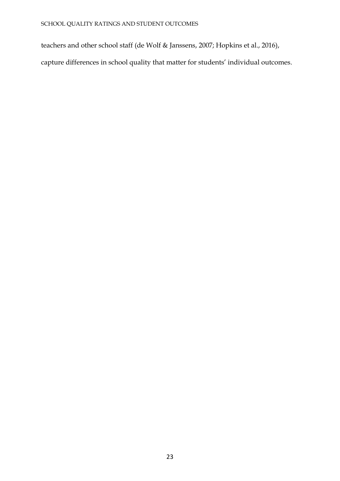teachers and other school staff (de Wolf & Janssens, 2007; Hopkins et al., 2016),

capture differences in school quality that matter for students' individual outcomes.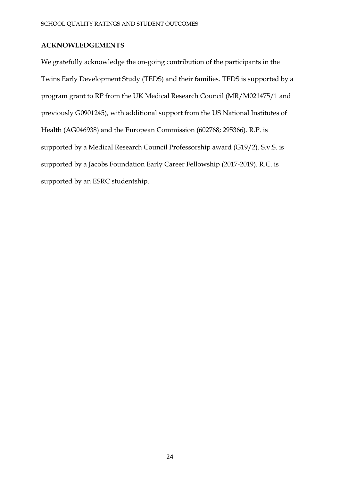## **ACKNOWLEDGEMENTS**

We gratefully acknowledge the on-going contribution of the participants in the Twins Early Development Study (TEDS) and their families. TEDS is supported by a program grant to RP from the UK Medical Research Council (MR/M021475/1 and previously G0901245), with additional support from the US National Institutes of Health (AG046938) and the European Commission (602768; 295366). R.P. is supported by a Medical Research Council Professorship award (G19/2). S.v.S. is supported by a Jacobs Foundation Early Career Fellowship (2017-2019). R.C. is supported by an ESRC studentship.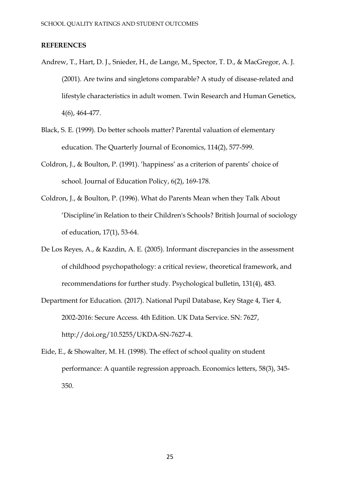## **REFERENCES**

- Andrew, T., Hart, D. J., Snieder, H., de Lange, M., Spector, T. D., & MacGregor, A. J. (2001). Are twins and singletons comparable? A study of disease-related and lifestyle characteristics in adult women. Twin Research and Human Genetics, 4(6), 464-477.
- Black, S. E. (1999). Do better schools matter? Parental valuation of elementary education. The Quarterly Journal of Economics, 114(2), 577-599.
- Coldron, J., & Boulton, P. (1991). 'happiness' as a criterion of parents' choice of school. Journal of Education Policy, 6(2), 169-178.
- Coldron, J., & Boulton, P. (1996). What do Parents Mean when they Talk About 'Discipline'in Relation to their Children's Schools? British Journal of sociology of education, 17(1), 53-64.
- De Los Reyes, A., & Kazdin, A. E. (2005). Informant discrepancies in the assessment of childhood psychopathology: a critical review, theoretical framework, and recommendations for further study. Psychological bulletin, 131(4), 483.
- Department for Education. (2017). National Pupil Database, Key Stage 4, Tier 4, 2002-2016: Secure Access. 4th Edition. UK Data Service. SN: 7627, http://doi.org/10.5255/UKDA-SN-7627-4.
- Eide, E., & Showalter, M. H. (1998). The effect of school quality on student performance: A quantile regression approach. Economics letters, 58(3), 345- 350.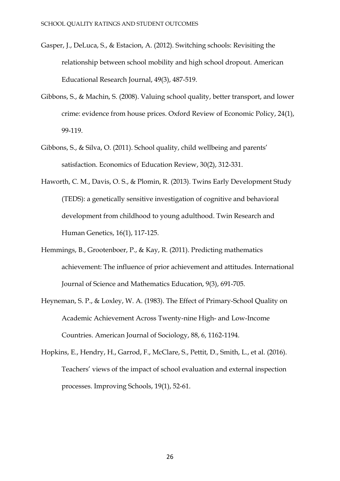- Gasper, J., DeLuca, S., & Estacion, A. (2012). Switching schools: Revisiting the relationship between school mobility and high school dropout. American Educational Research Journal, 49(3), 487-519.
- Gibbons, S., & Machin, S. (2008). Valuing school quality, better transport, and lower crime: evidence from house prices. Oxford Review of Economic Policy, 24(1), 99-119.
- Gibbons, S., & Silva, O. (2011). School quality, child wellbeing and parents' satisfaction. Economics of Education Review, 30(2), 312-331.
- Haworth, C. M., Davis, O. S., & Plomin, R. (2013). Twins Early Development Study (TEDS): a genetically sensitive investigation of cognitive and behavioral development from childhood to young adulthood. Twin Research and Human Genetics, 16(1), 117-125.
- Hemmings, B., Grootenboer, P., & Kay, R. (2011). Predicting mathematics achievement: The influence of prior achievement and attitudes. International Journal of Science and Mathematics Education, 9(3), 691-705.
- Heyneman, S. P., & Loxley, W. A. (1983). The Effect of Primary-School Quality on Academic Achievement Across Twenty-nine High- and Low-Income Countries. American Journal of Sociology, 88, 6, 1162-1194.
- Hopkins, E., Hendry, H., Garrod, F., McClare, S., Pettit, D., Smith, L., et al. (2016). Teachers' views of the impact of school evaluation and external inspection processes. Improving Schools, 19(1), 52-61.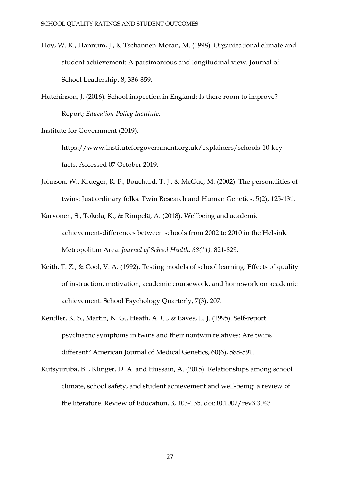- Hoy, W. K., Hannum, J., & Tschannen-Moran, M. (1998). Organizational climate and student achievement: A parsimonious and longitudinal view. Journal of School Leadership, 8, 336-359.
- Hutchinson, J. (2016). School inspection in England: Is there room to improve? Report; *Education Policy Institute.*
- Institute for Government (2019).

https://www.instituteforgovernment.org.uk/explainers/schools-10-keyfacts. Accessed 07 October 2019.

- Johnson, W., Krueger, R. F., Bouchard, T. J., & McGue, M. (2002). The personalities of twins: Just ordinary folks. Twin Research and Human Genetics, 5(2), 125-131.
- Karvonen, S., Tokola, K., & Rimpelä, A. (2018). Wellbeing and academic achievement-differences between schools from 2002 to 2010 in the Helsinki Metropolitan Area. *Journal of School Health, 88(11),* 821-829.
- Keith, T. Z., & Cool, V. A. (1992). Testing models of school learning: Effects of quality of instruction, motivation, academic coursework, and homework on academic achievement. School Psychology Quarterly, 7(3), 207.
- Kendler, K. S., Martin, N. G., Heath, A. C., & Eaves, L. J. (1995). Self‐report psychiatric symptoms in twins and their nontwin relatives: Are twins different? American Journal of Medical Genetics, 60(6), 588-591.
- Kutsyuruba, B. , Klinger, D. A. and Hussain, A. (2015). Relationships among school climate, school safety, and student achievement and well‐being: a review of the literature. Review of Education, 3, 103-135. doi:10.1002/rev3.3043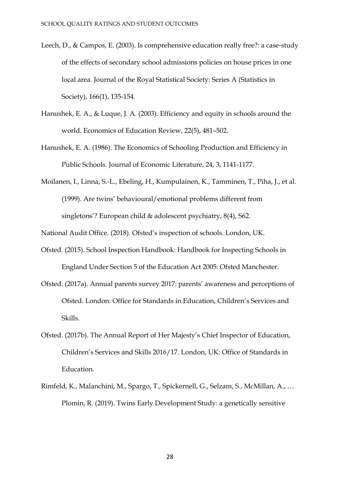- Leech, D., & Campos, E. (2003). Is comprehensive education really free?: a case-study of the effects of secondary school admissions policies on house prices in one local area. Journal of the Royal Statistical Society: Series A (Statistics in Society), 166(1), 135-154.
- Hanushek, E. A., & Luque, J. A. (2003). Efficiency and equity in schools around the world. Economics of Education Review, 22(5), 481–502.
- Hanushek, E. A. (1986). The Economics of Schooling Production and Efficiency in Public Schools. Journal of Economic Literature, 24, 3, 1141-1177.
- Moilanen, I., Linna, S.-L., Ebeling, H., Kumpulainen, K., Tamminen, T., Piha, J., et al. (1999). Are twins' behavioural/emotional problems different from singletons'? European child & adolescent psychiatry, 8(4), S62.

National Audit Office. (2018). Ofsted's inspection of schools. London, UK.

- Ofsted. (2015). School Inspection Handbook: Handbook for Inspecting Schools in England Under Section 5 of the Education Act 2005: Ofsted Manchester.
- Ofsted. (2017a). Annual parents survey 2017: parents' awareness and perceptions of Ofsted. London: Office for Standards in Education, Children's Services and Skills.
- Ofsted. (2017b). The Annual Report of Her Majesty's Chief Inspector of Education, Children's Services and Skills 2016/17. London, UK: Office of Standards in Education.
- Rimfeld, K., Malanchini, M., Spargo, T., Spickernell, G., Selzam, S., McMillan, A., … Plomin, R. (2019). Twins Early Development Study: a genetically sensitive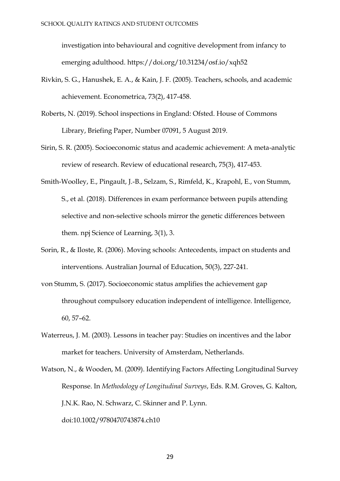investigation into behavioural and cognitive development from infancy to emerging adulthood. https://doi.org/10.31234/osf.io/xqh52

- Rivkin, S. G., Hanushek, E. A., & Kain, J. F. (2005). Teachers, schools, and academic achievement. Econometrica, 73(2), 417-458.
- Roberts, N. (2019). School inspections in England: Ofsted. House of Commons Library, Briefing Paper, Number 07091, 5 August 2019.
- Sirin, S. R. (2005). Socioeconomic status and academic achievement: A meta-analytic review of research. Review of educational research, 75(3), 417-453.
- Smith-Woolley, E., Pingault, J.-B., Selzam, S., Rimfeld, K., Krapohl, E., von Stumm, S., et al. (2018). Differences in exam performance between pupils attending selective and non-selective schools mirror the genetic differences between them. npj Science of Learning, 3(1), 3.
- Sorin, R., & Iloste, R. (2006). Moving schools: Antecedents, impact on students and interventions. Australian Journal of Education, 50(3), 227-241.
- von Stumm, S. (2017). Socioeconomic status amplifies the achievement gap throughout compulsory education independent of intelligence. Intelligence, 60, 57–62.
- Waterreus, J. M. (2003). Lessons in teacher pay: Studies on incentives and the labor market for teachers. University of Amsterdam, Netherlands.
- Watson, N., & Wooden, M. (2009). Identifying Factors Affecting Longitudinal Survey Response. In *Methodology of Longitudinal Surveys*, Eds. R.M. Groves, G. Kalton, J.N.K. Rao, N. Schwarz, C. Skinner and P. Lynn. doi:10.1002/9780470743874.ch10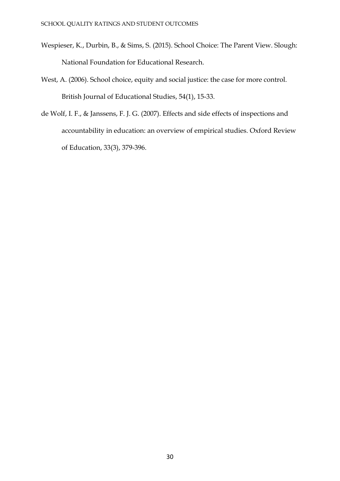- Wespieser, K., Durbin, B., & Sims, S. (2015). School Choice: The Parent View. Slough: National Foundation for Educational Research.
- West, A. (2006). School choice, equity and social justice: the case for more control. British Journal of Educational Studies, 54(1), 15-33.
- de Wolf, I. F., & Janssens, F. J. G. (2007). Effects and side effects of inspections and accountability in education: an overview of empirical studies. Oxford Review of Education, 33(3), 379-396.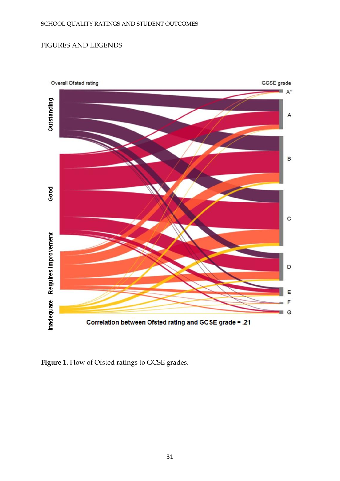# FIGURES AND LEGENDS



Figure 1. Flow of Ofsted ratings to GCSE grades.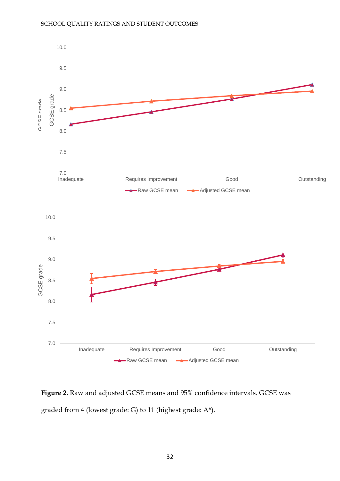

**Figure 2.** Raw and adjusted GCSE means and 95% confidence intervals. GCSE was graded from 4 (lowest grade: G) to 11 (highest grade: A\*).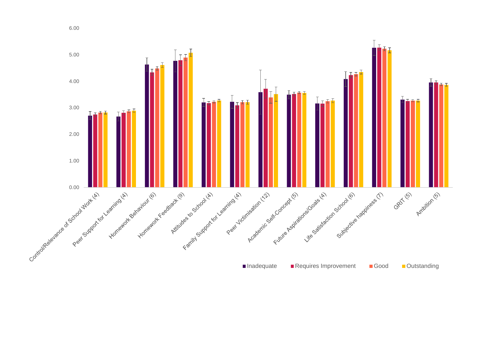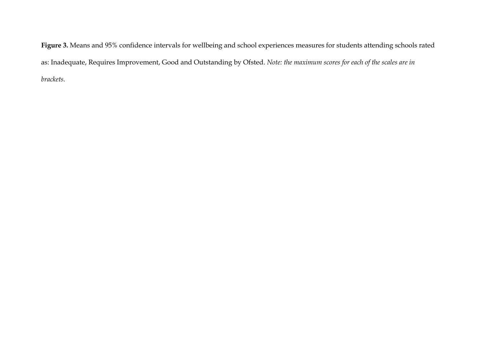**Figure 3.** Means and 95% confidence intervals for wellbeing and school experiences measures for students attending schools rated as: Inadequate, Requires Improvement, Good and Outstanding by Ofsted. *Note: the maximum scores for each of the scales are in brackets.*